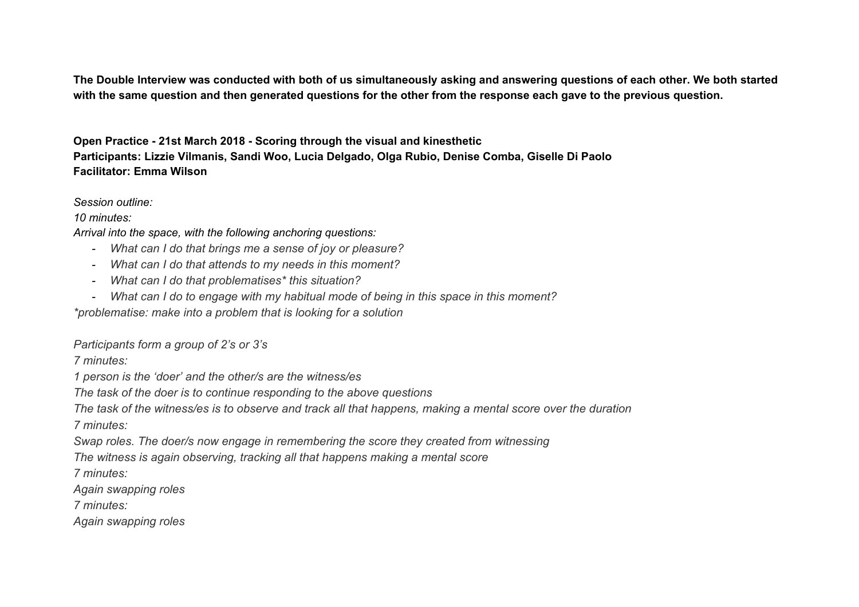The Double Interview was conducted with both of us simultaneously asking and answering questions of each other. We both started with the same question and then generated questions for the other from the response each gave to the previous question.

**Open Practice - 21st March 2018 - Scoring through the visual and kinesthetic Participants: Lizzie Vilmanis, Sandi Woo, Lucia Delgado, Olga Rubio, Denise Comba, Giselle Di Paolo Facilitator: Emma Wilson**

*Session outline:*

*10 minutes:*

*Arrival into the space, with the following anchoring questions:*

- *- What can I do that brings me a sense of joy or pleasure?*
- *- What can I do that attends to my needs in this moment?*
- *- What can I do that problematises\* this situation?*
- *- What can I do to engage with my habitual mode of being in this space in this moment?*

*\*problematise: make into a problem that is looking for a solution*

*Participants form a group of 2's or 3's*

*7 minutes:*

*1 person is the 'doer' and the other/s are the witness/es*

*The task of the doer is to continue responding to the above questions*

The task of the witness/es is to observe and track all that happens, making a mental score over the duration

*7 minutes:*

*Swap roles. The doer/s now engage in remembering the score they created from witnessing*

*The witness is again observing, tracking all that happens making a mental score*

*7 minutes:*

*Again swapping roles*

*7 minutes:*

*Again swapping roles*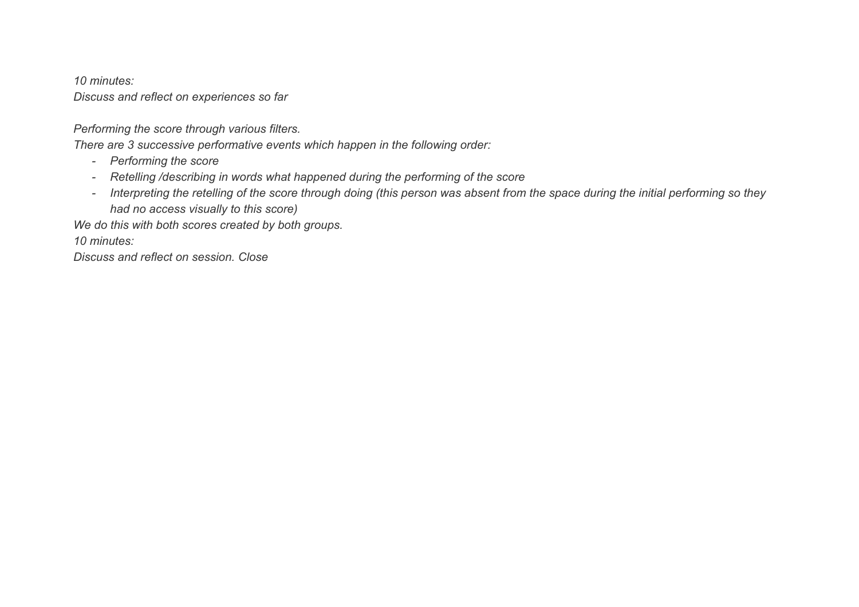*10 minutes:*

*Discuss and reflect on experiences so far*

*Performing the score through various filters.*

*There are 3 successive performative events which happen in the following order:*

- *- Performing the score*
- *- Retelling /describing in words what happened during the performing of the score*
- Interpreting the retelling of the score through doing (this person was absent from the space during the initial performing so they *had no access visually to this score)*

*We do this with both scores created by both groups.*

*10 minutes:*

*Discuss and reflect on session. Close*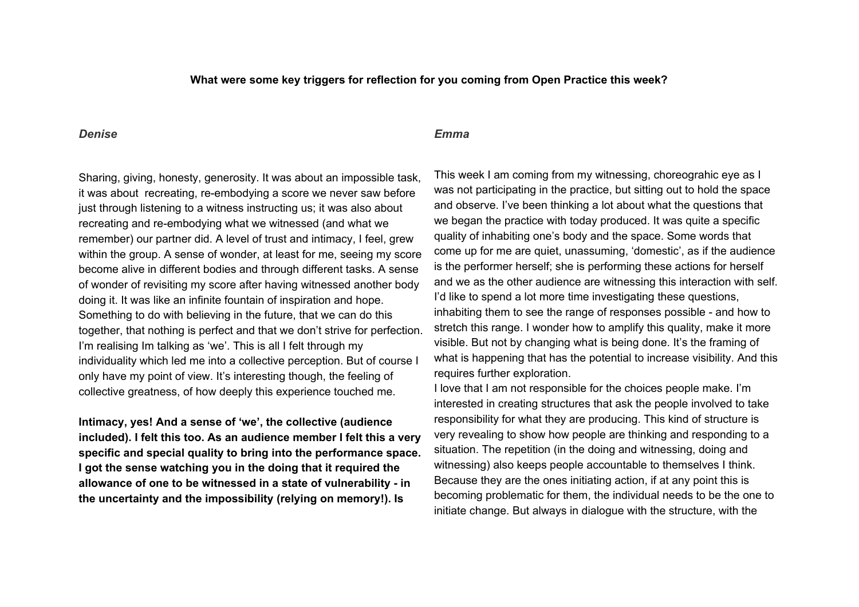## **What were some key triggers for reflection for you coming from Open Practice this week?**

## *Denise*

## *Emma*

Sharing, giving, honesty, generosity. It was about an impossible task, it was about recreating, re-embodying a score we never saw before just through listening to a witness instructing us; it was also about recreating and re-embodying what we witnessed (and what we remember) our partner did. A level of trust and intimacy, I feel, grew within the group. A sense of wonder, at least for me, seeing my score become alive in different bodies and through different tasks. A sense of wonder of revisiting my score after having witnessed another body doing it. It was like an infinite fountain of inspiration and hope. Something to do with believing in the future, that we can do this together, that nothing is perfect and that we don't strive for perfection. I'm realising Im talking as 'we'. This is all I felt through my individuality which led me into a collective perception. But of course I only have my point of view. It's interesting though, the feeling of collective greatness, of how deeply this experience touched me.

**Intimacy, yes! And a sense of 'we', the collective (audience included). I felt this too. As an audience member I felt this a very specific and special quality to bring into the performance space. I got the sense watching you in the doing that it required the allowance of one to be witnessed in a state of vulnerability - in the uncertainty and the impossibility (relying on memory!). Is**

This week I am coming from my witnessing, choreograhic eye as I was not participating in the practice, but sitting out to hold the space and observe. I've been thinking a lot about what the questions that we began the practice with today produced. It was quite a specific quality of inhabiting one's body and the space. Some words that come up for me are quiet, unassuming, 'domestic', as if the audience is the performer herself; she is performing these actions for herself and we as the other audience are witnessing this interaction with self. I'd like to spend a lot more time investigating these questions, inhabiting them to see the range of responses possible - and how to stretch this range. I wonder how to amplify this quality, make it more visible. But not by changing what is being done. It's the framing of what is happening that has the potential to increase visibility. And this requires further exploration.

I love that I am not responsible for the choices people make. I'm interested in creating structures that ask the people involved to take responsibility for what they are producing. This kind of structure is very revealing to show how people are thinking and responding to a situation. The repetition (in the doing and witnessing, doing and witnessing) also keeps people accountable to themselves I think. Because they are the ones initiating action, if at any point this is becoming problematic for them, the individual needs to be the one to initiate change. But always in dialogue with the structure, with the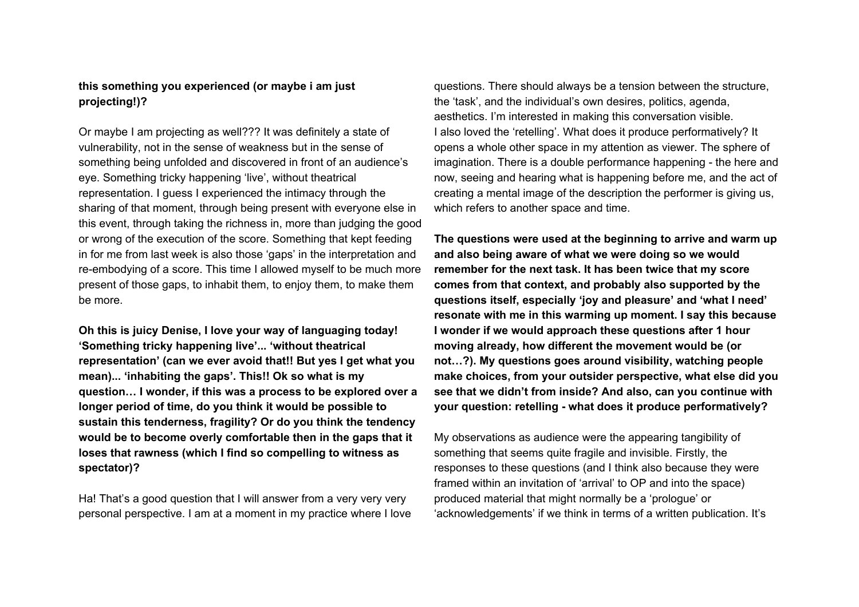## **this something you experienced (or maybe i am just projecting!)?**

Or maybe I am projecting as well??? It was definitely a state of vulnerability, not in the sense of weakness but in the sense of something being unfolded and discovered in front of an audience's eye. Something tricky happening 'live', without theatrical representation. I guess I experienced the intimacy through the sharing of that moment, through being present with everyone else in this event, through taking the richness in, more than judging the good or wrong of the execution of the score. Something that kept feeding in for me from last week is also those 'gaps' in the interpretation and re-embodying of a score. This time I allowed myself to be much more present of those gaps, to inhabit them, to enjoy them, to make them be more.

**Oh this is juicy Denise, I love your way of languaging today! 'Something tricky happening live'... 'without theatrical representation' (can we ever avoid that!! But yes I get what you mean)... 'inhabiting the gaps'. This!! Ok so what is my question… I wonder, if this was a process to be explored over a longer period of time, do you think it would be possible to sustain this tenderness, fragility? Or do you think the tendency would be to become overly comfortable then in the gaps that it loses that rawness (which I find so compelling to witness as spectator)?**

Ha! That's a good question that I will answer from a very very very personal perspective. I am at a moment in my practice where I love

questions. There should always be a tension between the structure, the 'task', and the individual's own desires, politics, agenda, aesthetics. I'm interested in making this conversation visible. I also loved the 'retelling'. What does it produce performatively? It opens a whole other space in my attention as viewer. The sphere of imagination. There is a double performance happening - the here and now, seeing and hearing what is happening before me, and the act of creating a mental image of the description the performer is giving us, which refers to another space and time.

**The questions were used at the beginning to arrive and warm up and also being aware of what we were doing so we would remember for the next task. It has been twice that my score comes from that context, and probably also supported by the questions itself, especially 'joy and pleasure' and 'what I need' resonate with me in this warming up moment. I say this because I wonder if we would approach these questions after 1 hour moving already, how different the movement would be (or not…?). My questions goes around visibility, watching people make choices, from your outsider perspective, what else did you see that we didn't from inside? And also, can you continue with your question: retelling - what does it produce performatively?**

My observations as audience were the appearing tangibility of something that seems quite fragile and invisible. Firstly, the responses to these questions (and I think also because they were framed within an invitation of 'arrival' to OP and into the space) produced material that might normally be a 'prologue' or 'acknowledgements' if we think in terms of a written publication. It's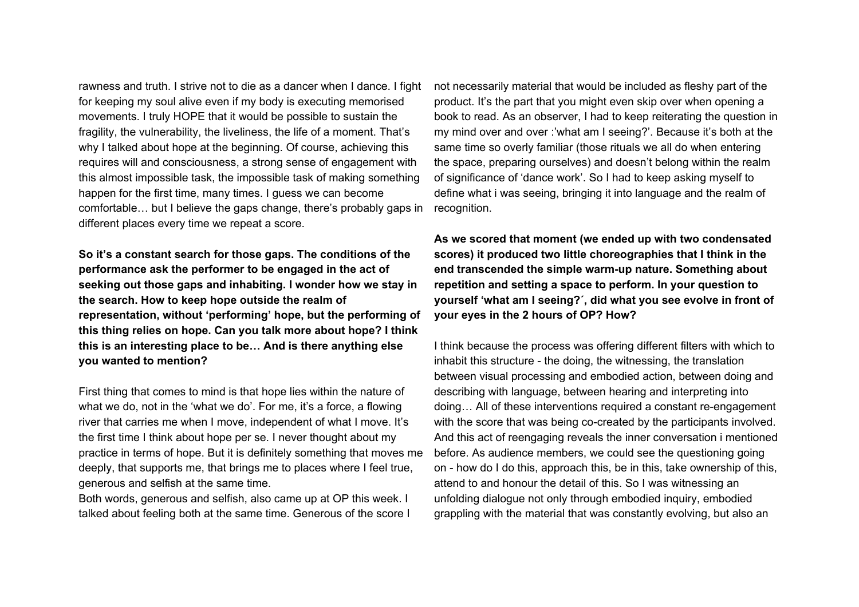rawness and truth. I strive not to die as a dancer when I dance. I fight for keeping my soul alive even if my body is executing memorised movements. I truly HOPE that it would be possible to sustain the fragility, the vulnerability, the liveliness, the life of a moment. That's why I talked about hope at the beginning. Of course, achieving this requires will and consciousness, a strong sense of engagement with this almost impossible task, the impossible task of making something happen for the first time, many times. I guess we can become comfortable… but I believe the gaps change, there's probably gaps in different places every time we repeat a score.

**So it's a constant search for those gaps. The conditions of the performance ask the performer to be engaged in the act of seeking out those gaps and inhabiting. I wonder how we stay in the search. How to keep hope outside the realm of representation, without 'performing' hope, but the performing of this thing relies on hope. Can you talk more about hope? I think this is an interesting place to be… And is there anything else you wanted to mention?**

First thing that comes to mind is that hope lies within the nature of what we do, not in the 'what we do'. For me, it's a force, a flowing river that carries me when I move, independent of what I move. It's the first time I think about hope per se. I never thought about my practice in terms of hope. But it is definitely something that moves me deeply, that supports me, that brings me to places where I feel true, generous and selfish at the same time.

Both words, generous and selfish, also came up at OP this week. I talked about feeling both at the same time. Generous of the score I not necessarily material that would be included as fleshy part of the product. It's the part that you might even skip over when opening a book to read. As an observer, I had to keep reiterating the question in my mind over and over :'what am I seeing?'. Because it's both at the same time so overly familiar (those rituals we all do when entering the space, preparing ourselves) and doesn't belong within the realm of significance of 'dance work'. So I had to keep asking myself to define what i was seeing, bringing it into language and the realm of recognition.

**As we scored that moment (we ended up with two condensated scores) it produced two little choreographies that I think in the end transcended the simple warm-up nature. Something about repetition and setting a space to perform. In your question to yourself 'what am I seeing?´, did what you see evolve in front of your eyes in the 2 hours of OP? How?**

I think because the process was offering different filters with which to inhabit this structure - the doing, the witnessing, the translation between visual processing and embodied action, between doing and describing with language, between hearing and interpreting into doing… All of these interventions required a constant re-engagement with the score that was being co-created by the participants involved. And this act of reengaging reveals the inner conversation i mentioned before. As audience members, we could see the questioning going on - how do I do this, approach this, be in this, take ownership of this, attend to and honour the detail of this. So I was witnessing an unfolding dialogue not only through embodied inquiry, embodied grappling with the material that was constantly evolving, but also an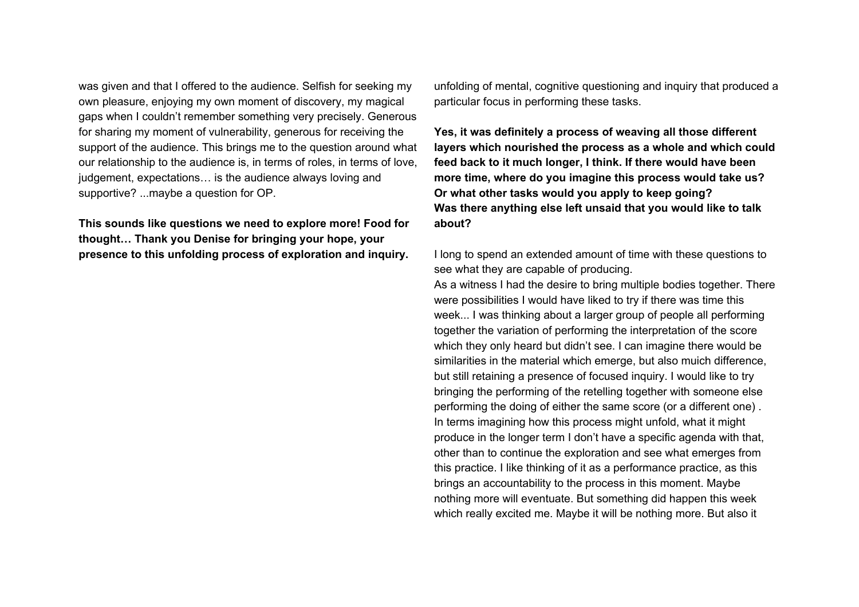was given and that I offered to the audience. Selfish for seeking my own pleasure, enjoying my own moment of discovery, my magical gaps when I couldn't remember something very precisely. Generous for sharing my moment of vulnerability, generous for receiving the support of the audience. This brings me to the question around what our relationship to the audience is, in terms of roles, in terms of love, judgement, expectations… is the audience always loving and supportive? ...maybe a question for OP.

**This sounds like questions we need to explore more! Food for thought… Thank you Denise for bringing your hope, your presence to this unfolding process of exploration and inquiry.**

unfolding of mental, cognitive questioning and inquiry that produced a particular focus in performing these tasks.

**Yes, it was definitely a process of weaving all those different layers which nourished the process as a whole and which could feed back to it much longer, I think. If there would have been more time, where do you imagine this process would take us? Or what other tasks would you apply to keep going? Was there anything else left unsaid that you would like to talk about?**

I long to spend an extended amount of time with these questions to see what they are capable of producing.

As a witness I had the desire to bring multiple bodies together. There were possibilities I would have liked to try if there was time this week... I was thinking about a larger group of people all performing together the variation of performing the interpretation of the score which they only heard but didn't see. I can imagine there would be similarities in the material which emerge, but also muich difference, but still retaining a presence of focused inquiry. I would like to try bringing the performing of the retelling together with someone else performing the doing of either the same score (or a different one) . In terms imagining how this process might unfold, what it might produce in the longer term I don't have a specific agenda with that, other than to continue the exploration and see what emerges from this practice. I like thinking of it as a performance practice, as this brings an accountability to the process in this moment. Maybe nothing more will eventuate. But something did happen this week which really excited me. Maybe it will be nothing more. But also it